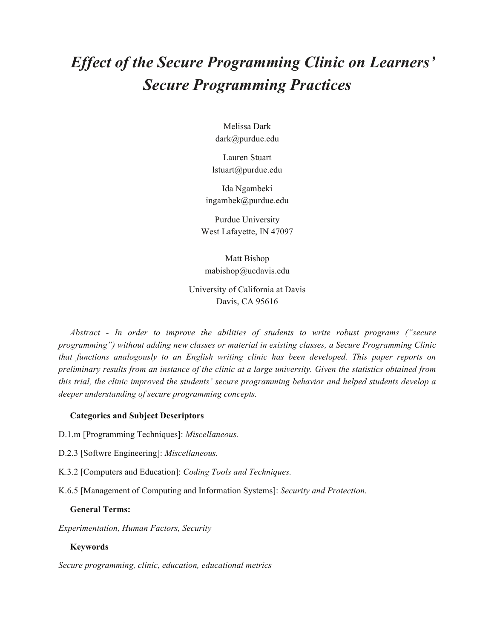# *Effect of the Secure Programming Clinic on Learners' Secure Programming Practices*

Melissa Dark dark@purdue.edu

Lauren Stuart lstuart@purdue.edu

Ida Ngambeki ingambek@purdue.edu

Purdue University West Lafayette, IN 47097

Matt Bishop mabishop@ucdavis.edu

University of California at Davis Davis, CA 95616

*Abstract - In order to improve the abilities of students to write robust programs ("secure programming") without adding new classes or material in existing classes, a Secure Programming Clinic that functions analogously to an English writing clinic has been developed. This paper reports on preliminary results from an instance of the clinic at a large university. Given the statistics obtained from this trial, the clinic improved the students' secure programming behavior and helped students develop a deeper understanding of secure programming concepts.* 

#### **Categories and Subject Descriptors**

D.1.m [Programming Techniques]: *Miscellaneous.*

- D.2.3 [Softwre Engineering]: *Miscellaneous.*
- K.3.2 [Computers and Education]: *Coding Tools and Techniques.*
- K.6.5 [Management of Computing and Information Systems]: *Security and Protection.*

#### **General Terms:**

*Experimentation, Human Factors, Security*

#### **Keywords**

*Secure programming, clinic, education, educational metrics*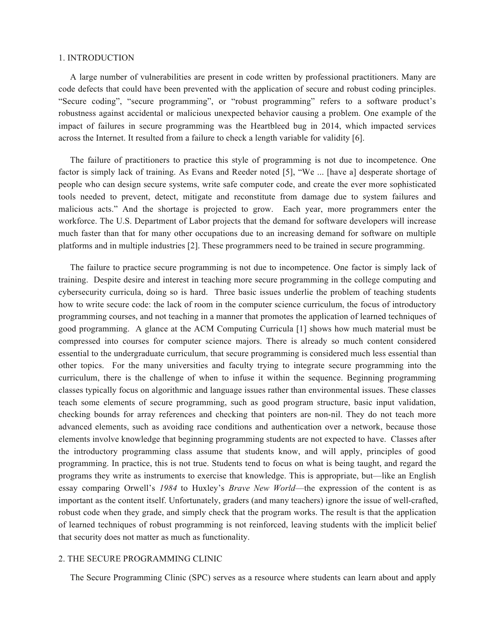# 1. INTRODUCTION

A large number of vulnerabilities are present in code written by professional practitioners. Many are code defects that could have been prevented with the application of secure and robust coding principles. "Secure coding", "secure programming", or "robust programming" refers to a software product's robustness against accidental or malicious unexpected behavior causing a problem. One example of the impact of failures in secure programming was the Heartbleed bug in 2014, which impacted services across the Internet. It resulted from a failure to check a length variable for validity [6].

The failure of practitioners to practice this style of programming is not due to incompetence. One factor is simply lack of training. As Evans and Reeder noted [5], "We ... [have a] desperate shortage of people who can design secure systems, write safe computer code, and create the ever more sophisticated tools needed to prevent, detect, mitigate and reconstitute from damage due to system failures and malicious acts." And the shortage is projected to grow. Each year, more programmers enter the workforce. The U.S. Department of Labor projects that the demand for software developers will increase much faster than that for many other occupations due to an increasing demand for software on multiple platforms and in multiple industries [2]. These programmers need to be trained in secure programming.

The failure to practice secure programming is not due to incompetence. One factor is simply lack of training. Despite desire and interest in teaching more secure programming in the college computing and cybersecurity curricula, doing so is hard. Three basic issues underlie the problem of teaching students how to write secure code: the lack of room in the computer science curriculum, the focus of introductory programming courses, and not teaching in a manner that promotes the application of learned techniques of good programming. A glance at the ACM Computing Curricula [1] shows how much material must be compressed into courses for computer science majors. There is already so much content considered essential to the undergraduate curriculum, that secure programming is considered much less essential than other topics. For the many universities and faculty trying to integrate secure programming into the curriculum, there is the challenge of when to infuse it within the sequence. Beginning programming classes typically focus on algorithmic and language issues rather than environmental issues. These classes teach some elements of secure programming, such as good program structure, basic input validation, checking bounds for array references and checking that pointers are non-nil. They do not teach more advanced elements, such as avoiding race conditions and authentication over a network, because those elements involve knowledge that beginning programming students are not expected to have. Classes after the introductory programming class assume that students know, and will apply, principles of good programming. In practice, this is not true. Students tend to focus on what is being taught, and regard the programs they write as instruments to exercise that knowledge. This is appropriate, but—like an English essay comparing Orwell's *1984* to Huxley's *Brave New World*—the expression of the content is as important as the content itself. Unfortunately, graders (and many teachers) ignore the issue of well-crafted, robust code when they grade, and simply check that the program works. The result is that the application of learned techniques of robust programming is not reinforced, leaving students with the implicit belief that security does not matter as much as functionality.

## 2. THE SECURE PROGRAMMING CLINIC

The Secure Programming Clinic (SPC) serves as a resource where students can learn about and apply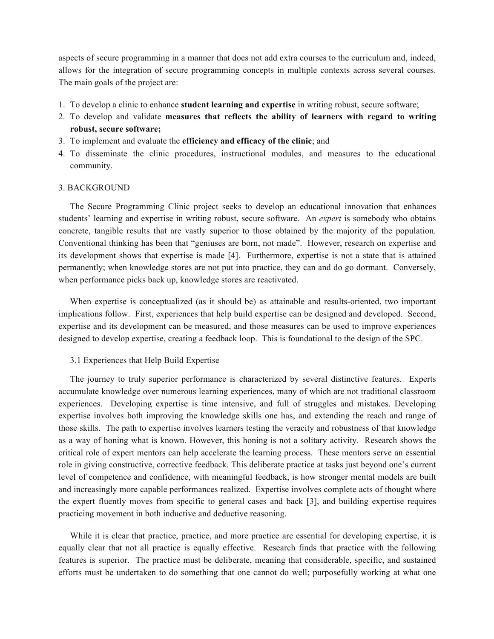aspects of secure programming in a manner that does not add extra courses to the curriculum and, indeed, allows for the integration of secure programming concepts in multiple contexts across several courses. The main goals of the project are:

- 1. To develop a clinic to enhance **student learning and expertise** in writing robust, secure software;
- 2. To develop and validate **measures that reflects the ability of learners with regard to writing robust, secure software;**
- 3. To implement and evaluate the **efficiency and efficacy of the clinic**; and
- 4. To disseminate the clinic procedures, instructional modules, and measures to the educational community.

#### 3. BACKGROUND

The Secure Programming Clinic project seeks to develop an educational innovation that enhances students' learning and expertise in writing robust, secure software. An *expert* is somebody who obtains concrete, tangible results that are vastly superior to those obtained by the majority of the population. Conventional thinking has been that "geniuses are born, not made". However, research on expertise and its development shows that expertise is made [4]. Furthermore, expertise is not a state that is attained permanently; when knowledge stores are not put into practice, they can and do go dormant. Conversely, when performance picks back up, knowledge stores are reactivated.

When expertise is conceptualized (as it should be) as attainable and results-oriented, two important implications follow. First, experiences that help build expertise can be designed and developed. Second, expertise and its development can be measured, and those measures can be used to improve experiences designed to develop expertise, creating a feedback loop. This is foundational to the design of the SPC.

3.1 Experiences that Help Build Expertise

The journey to truly superior performance is characterized by several distinctive features. Experts accumulate knowledge over numerous learning experiences, many of which are not traditional classroom experiences. Developing expertise is time intensive, and full of struggles and mistakes. Developing expertise involves both improving the knowledge skills one has, and extending the reach and range of those skills. The path to expertise involves learners testing the veracity and robustness of that knowledge as a way of honing what is known. However, this honing is not a solitary activity. Research shows the critical role of expert mentors can help accelerate the learning process. These mentors serve an essential role in giving constructive, corrective feedback. This deliberate practice at tasks just beyond one's current level of competence and confidence, with meaningful feedback, is how stronger mental models are built and increasingly more capable performances realized. Expertise involves complete acts of thought where the expert fluently moves from specific to general cases and back [3], and building expertise requires practicing movement in both inductive and deductive reasoning.

While it is clear that practice, practice, and more practice are essential for developing expertise, it is equally clear that not all practice is equally effective. Research finds that practice with the following features is superior. The practice must be deliberate, meaning that considerable, specific, and sustained efforts must be undertaken to do something that one cannot do well; purposefully working at what one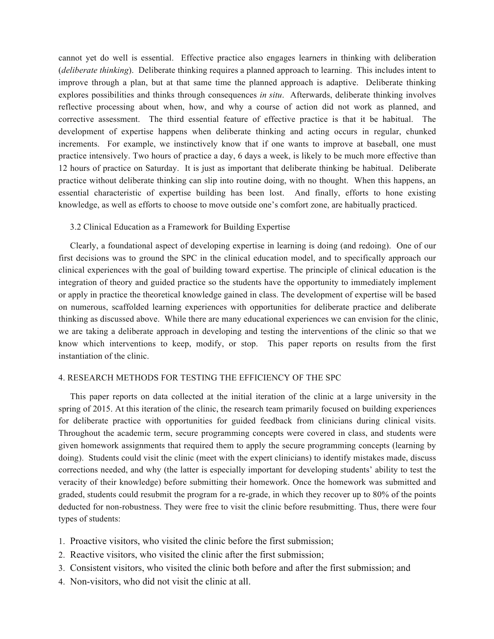cannot yet do well is essential. Effective practice also engages learners in thinking with deliberation (*deliberate thinking*). Deliberate thinking requires a planned approach to learning. This includes intent to improve through a plan, but at that same time the planned approach is adaptive. Deliberate thinking explores possibilities and thinks through consequences *in situ*. Afterwards, deliberate thinking involves reflective processing about when, how, and why a course of action did not work as planned, and corrective assessment. The third essential feature of effective practice is that it be habitual. The development of expertise happens when deliberate thinking and acting occurs in regular, chunked increments. For example, we instinctively know that if one wants to improve at baseball, one must practice intensively. Two hours of practice a day, 6 days a week, is likely to be much more effective than 12 hours of practice on Saturday. It is just as important that deliberate thinking be habitual. Deliberate practice without deliberate thinking can slip into routine doing, with no thought. When this happens, an essential characteristic of expertise building has been lost. And finally, efforts to hone existing knowledge, as well as efforts to choose to move outside one's comfort zone, are habitually practiced.

# 3.2 Clinical Education as a Framework for Building Expertise

Clearly, a foundational aspect of developing expertise in learning is doing (and redoing). One of our first decisions was to ground the SPC in the clinical education model, and to specifically approach our clinical experiences with the goal of building toward expertise. The principle of clinical education is the integration of theory and guided practice so the students have the opportunity to immediately implement or apply in practice the theoretical knowledge gained in class. The development of expertise will be based on numerous, scaffolded learning experiences with opportunities for deliberate practice and deliberate thinking as discussed above. While there are many educational experiences we can envision for the clinic, we are taking a deliberate approach in developing and testing the interventions of the clinic so that we know which interventions to keep, modify, or stop. This paper reports on results from the first instantiation of the clinic.

## 4. RESEARCH METHODS FOR TESTING THE EFFICIENCY OF THE SPC

This paper reports on data collected at the initial iteration of the clinic at a large university in the spring of 2015. At this iteration of the clinic, the research team primarily focused on building experiences for deliberate practice with opportunities for guided feedback from clinicians during clinical visits. Throughout the academic term, secure programming concepts were covered in class, and students were given homework assignments that required them to apply the secure programming concepts (learning by doing). Students could visit the clinic (meet with the expert clinicians) to identify mistakes made, discuss corrections needed, and why (the latter is especially important for developing students' ability to test the veracity of their knowledge) before submitting their homework. Once the homework was submitted and graded, students could resubmit the program for a re-grade, in which they recover up to 80% of the points deducted for non-robustness. They were free to visit the clinic before resubmitting. Thus, there were four types of students:

- 1. Proactive visitors, who visited the clinic before the first submission;
- 2. Reactive visitors, who visited the clinic after the first submission;
- 3. Consistent visitors, who visited the clinic both before and after the first submission; and
- 4. Non-visitors, who did not visit the clinic at all.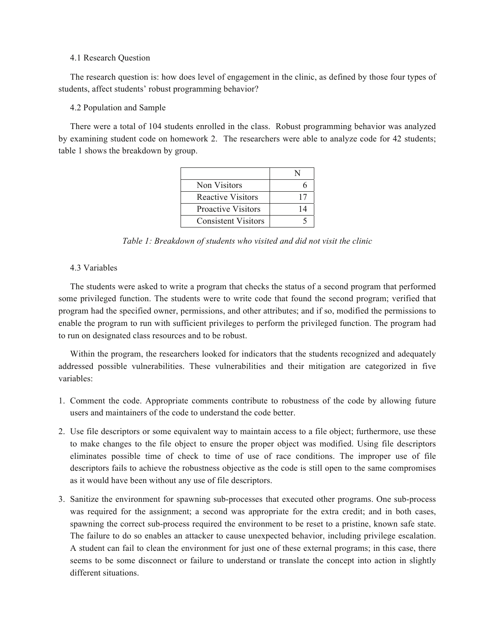#### 4.1 Research Question

The research question is: how does level of engagement in the clinic, as defined by those four types of students, affect students' robust programming behavior?

## 4.2 Population and Sample

There were a total of 104 students enrolled in the class. Robust programming behavior was analyzed by examining student code on homework 2. The researchers were able to analyze code for 42 students; table 1 shows the breakdown by group.

| Non Visitors               |    |
|----------------------------|----|
| <b>Reactive Visitors</b>   | 17 |
| <b>Proactive Visitors</b>  | 14 |
| <b>Consistent Visitors</b> |    |

*Table 1: Breakdown of students who visited and did not visit the clinic* 

# 4.3 Variables

The students were asked to write a program that checks the status of a second program that performed some privileged function. The students were to write code that found the second program; verified that program had the specified owner, permissions, and other attributes; and if so, modified the permissions to enable the program to run with sufficient privileges to perform the privileged function. The program had to run on designated class resources and to be robust.

Within the program, the researchers looked for indicators that the students recognized and adequately addressed possible vulnerabilities. These vulnerabilities and their mitigation are categorized in five variables:

- 1. Comment the code. Appropriate comments contribute to robustness of the code by allowing future users and maintainers of the code to understand the code better.
- 2. Use file descriptors or some equivalent way to maintain access to a file object; furthermore, use these to make changes to the file object to ensure the proper object was modified. Using file descriptors eliminates possible time of check to time of use of race conditions. The improper use of file descriptors fails to achieve the robustness objective as the code is still open to the same compromises as it would have been without any use of file descriptors.
- 3. Sanitize the environment for spawning sub-processes that executed other programs. One sub-process was required for the assignment; a second was appropriate for the extra credit; and in both cases, spawning the correct sub-process required the environment to be reset to a pristine, known safe state. The failure to do so enables an attacker to cause unexpected behavior, including privilege escalation. A student can fail to clean the environment for just one of these external programs; in this case, there seems to be some disconnect or failure to understand or translate the concept into action in slightly different situations.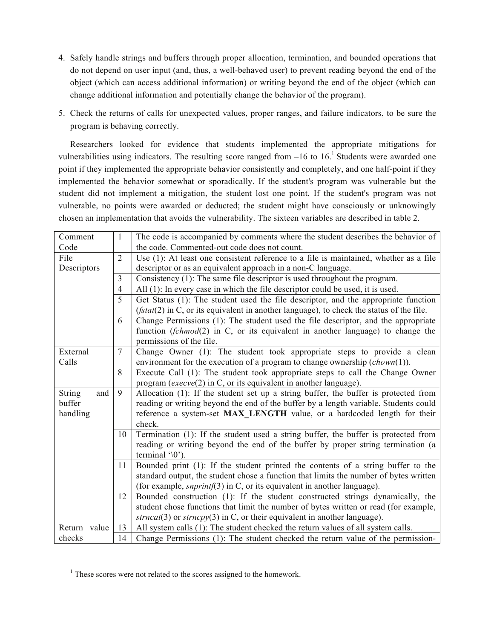- 4. Safely handle strings and buffers through proper allocation, termination, and bounded operations that do not depend on user input (and, thus, a well-behaved user) to prevent reading beyond the end of the object (which can access additional information) or writing beyond the end of the object (which can change additional information and potentially change the behavior of the program).
- 5. Check the returns of calls for unexpected values, proper ranges, and failure indicators, to be sure the program is behaving correctly.

Researchers looked for evidence that students implemented the appropriate mitigations for vulnerabilities using indicators. The resulting score ranged from  $-16$  to  $16<sup>1</sup>$  Students were awarded one point if they implemented the appropriate behavior consistently and completely, and one half-point if they implemented the behavior somewhat or sporadically. If the student's program was vulnerable but the student did not implement a mitigation, the student lost one point. If the student's program was not vulnerable, no points were awarded or deducted; the student might have consciously or unknowingly chosen an implementation that avoids the vulnerability. The sixteen variables are described in table 2.

| Comment<br>Code      | $\mathbf{1}$   | The code is accompanied by comments where the student describes the behavior of<br>the code. Commented-out code does not count.                       |  |  |  |  |
|----------------------|----------------|-------------------------------------------------------------------------------------------------------------------------------------------------------|--|--|--|--|
| File<br>Descriptors  | $\overline{2}$ | Use (1): At least one consistent reference to a file is maintained, whether as a file<br>descriptor or as an equivalent approach in a non-C language. |  |  |  |  |
|                      | 3              | Consistency $(1)$ : The same file descriptor is used throughout the program.                                                                          |  |  |  |  |
|                      | $\overline{4}$ | All (1): In every case in which the file descriptor could be used, it is used.                                                                        |  |  |  |  |
|                      | 5              | Get Status (1): The student used the file descriptor, and the appropriate function                                                                    |  |  |  |  |
|                      |                | $(fstat(2)$ in C, or its equivalent in another language), to check the status of the file.                                                            |  |  |  |  |
|                      | 6              | Change Permissions (1): The student used the file descriptor, and the appropriate                                                                     |  |  |  |  |
|                      |                | function $(fchmod(2)$ in C, or its equivalent in another language) to change the                                                                      |  |  |  |  |
|                      |                | permissions of the file.                                                                                                                              |  |  |  |  |
| External             | $\overline{7}$ | Change Owner (1): The student took appropriate steps to provide a clean                                                                               |  |  |  |  |
| Calls                |                | environment for the execution of a program to change ownership $\left($ <i>chown</i> $(1)$ $\right)$ .                                                |  |  |  |  |
|                      | 8              | Execute Call (1): The student took appropriate steps to call the Change Owner                                                                         |  |  |  |  |
|                      |                | program (execve(2) in C, or its equivalent in another language).                                                                                      |  |  |  |  |
| <b>String</b><br>and | 9              | Allocation (1): If the student set up a string buffer, the buffer is protected from                                                                   |  |  |  |  |
| buffer               |                | reading or writing beyond the end of the buffer by a length variable. Students could                                                                  |  |  |  |  |
| handling             |                | reference a system-set MAX_LENGTH value, or a hardcoded length for their<br>check.                                                                    |  |  |  |  |
|                      | 10             | Termination (1): If the student used a string buffer, the buffer is protected from                                                                    |  |  |  |  |
|                      |                | reading or writing beyond the end of the buffer by proper string termination (a                                                                       |  |  |  |  |
|                      |                | terminal $\langle 0 \rangle$ .                                                                                                                        |  |  |  |  |
|                      | 11             | Bounded print (1): If the student printed the contents of a string buffer to the                                                                      |  |  |  |  |
|                      |                | standard output, the student chose a function that limits the number of bytes written                                                                 |  |  |  |  |
|                      |                | (for example, <i>snprintf</i> (3) in C, or its equivalent in another language).                                                                       |  |  |  |  |
|                      | 12             | Bounded construction (1): If the student constructed strings dynamically, the                                                                         |  |  |  |  |
|                      |                | student chose functions that limit the number of bytes written or read (for example,                                                                  |  |  |  |  |
|                      |                | $\textit{strncat}(3)$ or $\textit{strncpy}(3)$ in C, or their equivalent in another language).                                                        |  |  |  |  |
| Return value         | 13             | All system calls (1): The student checked the return values of all system calls.                                                                      |  |  |  |  |
| checks               | 14             | Change Permissions (1): The student checked the return value of the permission-                                                                       |  |  |  |  |

<sup>&</sup>lt;sup>1</sup> These scores were not related to the scores assigned to the homework.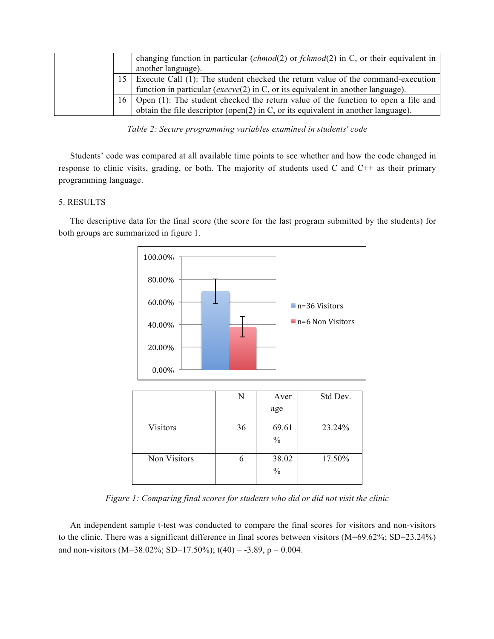|    | changing function in particular $(chmod(2)$ or $fchmod(2)$ in C, or their equivalent in<br>another language). |
|----|---------------------------------------------------------------------------------------------------------------|
| 15 | Execute Call (1): The student checked the return value of the command-execution                               |
|    | function in particular ( $exe cve(2)$ in C, or its equivalent in another language).                           |
| 16 | Open (1): The student checked the return value of the function to open a file and                             |
|    | obtain the file descriptor (open(2) in C, or its equivalent in another language).                             |

*Table 2: Secure programming variables examined in students' code* 

Students' code was compared at all available time points to see whether and how the code changed in response to clinic visits, grading, or both. The majority of students used C and C++ as their primary programming language.

# 5. RESULTS

The descriptive data for the final score (the score for the last program submitted by the students) for both groups are summarized in figure 1.



|                 | N  | Aver          | Std Dev. |
|-----------------|----|---------------|----------|
|                 |    | age           |          |
| <b>Visitors</b> | 36 | 69.61         | 23.24%   |
|                 |    | $\frac{0}{0}$ |          |
| Non Visitors    |    | 38.02         | 17.50%   |
|                 |    | $\frac{0}{0}$ |          |
|                 |    |               |          |

*Figure 1: Comparing final scores for students who did or did not visit the clinic* 

An independent sample t-test was conducted to compare the final scores for visitors and non-visitors to the clinic. There was a significant difference in final scores between visitors (M=69.62%; SD=23.24%) and non-visitors (M=38.02%; SD=17.50%);  $t(40) = -3.89$ ,  $p = 0.004$ .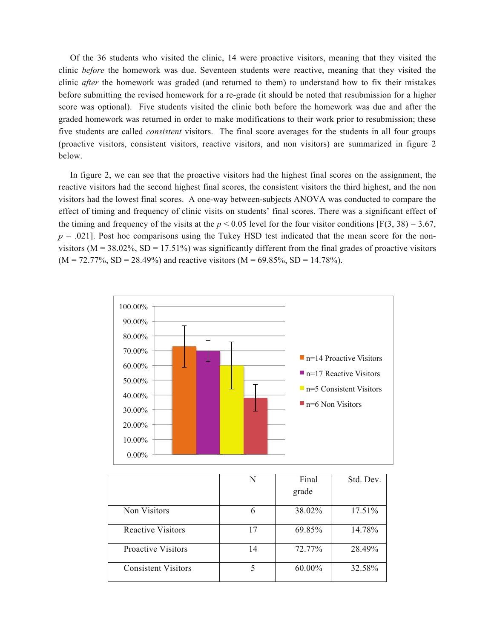Of the 36 students who visited the clinic, 14 were proactive visitors, meaning that they visited the clinic *before* the homework was due. Seventeen students were reactive, meaning that they visited the clinic *after* the homework was graded (and returned to them) to understand how to fix their mistakes before submitting the revised homework for a re-grade (it should be noted that resubmission for a higher score was optional). Five students visited the clinic both before the homework was due and after the graded homework was returned in order to make modifications to their work prior to resubmission; these five students are called *consistent* visitors. The final score averages for the students in all four groups (proactive visitors, consistent visitors, reactive visitors, and non visitors) are summarized in figure 2 below.

In figure 2, we can see that the proactive visitors had the highest final scores on the assignment, the reactive visitors had the second highest final scores, the consistent visitors the third highest, and the non visitors had the lowest final scores. A one-way between-subjects ANOVA was conducted to compare the effect of timing and frequency of clinic visits on students' final scores. There was a significant effect of the timing and frequency of the visits at the  $p < 0.05$  level for the four visitor conditions [F(3, 38) = 3.67,  $p = .021$ . Post hoc comparisons using the Tukey HSD test indicated that the mean score for the nonvisitors ( $M = 38.02\%$ ,  $SD = 17.51\%$ ) was significantly different from the final grades of proactive visitors  $(M = 72.77\%, SD = 28.49\%)$  and reactive visitors  $(M = 69.85\%, SD = 14.78\%).$ 



|                            | N  | Final  | Std. Dev. |
|----------------------------|----|--------|-----------|
|                            |    | grade  |           |
| Non Visitors               | 6  | 38.02% | 17.51%    |
| <b>Reactive Visitors</b>   | 17 | 69.85% | 14.78%    |
| <b>Proactive Visitors</b>  | 14 | 72.77% | 28.49%    |
| <b>Consistent Visitors</b> |    | 60.00% | 32.58%    |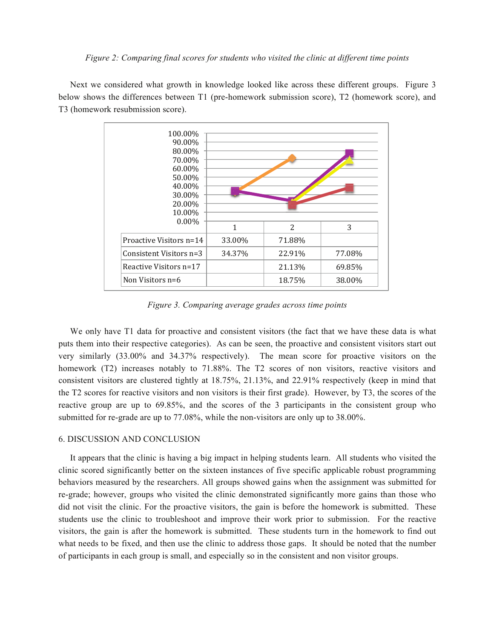Next we considered what growth in knowledge looked like across these different groups. Figure 3 below shows the differences between T1 (pre-homework submission score), T2 (homework score), and T3 (homework resubmission score).



*Figure 3. Comparing average grades across time points* 

We only have T1 data for proactive and consistent visitors (the fact that we have these data is what puts them into their respective categories). As can be seen, the proactive and consistent visitors start out very similarly (33.00% and 34.37% respectively). The mean score for proactive visitors on the homework (T2) increases notably to 71.88%. The T2 scores of non visitors, reactive visitors and consistent visitors are clustered tightly at 18.75%, 21.13%, and 22.91% respectively (keep in mind that the T2 scores for reactive visitors and non visitors is their first grade). However, by T3, the scores of the reactive group are up to 69.85%, and the scores of the 3 participants in the consistent group who submitted for re-grade are up to 77.08%, while the non-visitors are only up to 38.00%.

#### 6. DISCUSSION AND CONCLUSION

It appears that the clinic is having a big impact in helping students learn. All students who visited the clinic scored significantly better on the sixteen instances of five specific applicable robust programming behaviors measured by the researchers. All groups showed gains when the assignment was submitted for re-grade; however, groups who visited the clinic demonstrated significantly more gains than those who did not visit the clinic. For the proactive visitors, the gain is before the homework is submitted. These students use the clinic to troubleshoot and improve their work prior to submission. For the reactive visitors, the gain is after the homework is submitted. These students turn in the homework to find out what needs to be fixed, and then use the clinic to address those gaps. It should be noted that the number of participants in each group is small, and especially so in the consistent and non visitor groups.